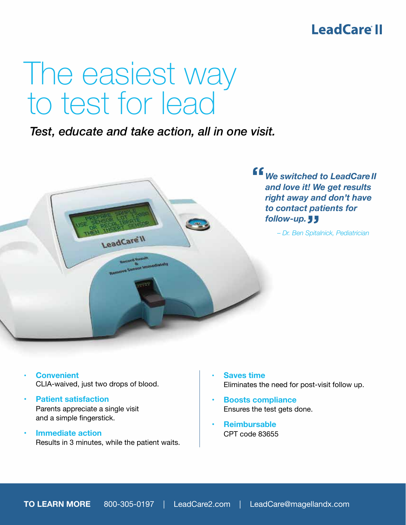## LeadCare<sup>®</sup>

# The easiest way to test for lead

 *Test, educate and take action, all in one visit.*



- **Convenient**  CLIA-waived, just two drops of blood.
- **Patient satisfaction**  Parents appreciate a single visit and a simple fingerstick.
- **• Immediate action** Results in 3 minutes, while the patient waits.
- **Saves time** Eliminates the need for post-visit follow up.
- **• Boosts compliance** Ensures the test gets done.
- **• Reimbursable** CPT code 83655